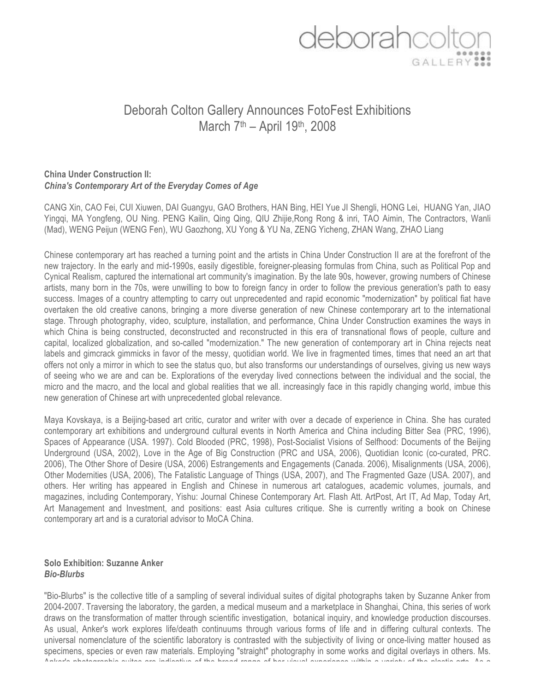# deborahcolt

# Deborah Colton Gallery Announces FotoFest Exhibitions March 7th – April 19th, 2008

### **China Under Construction II:**  *China's Contemporary Art of the Everyday Comes of Age*

CANG Xin, CAO Fei, CUI Xiuwen, DAI Guangyu, GAO Brothers, HAN Bing, HEI Yue JI Shengli, HONG Lei, HUANG Yan, JIAO Yingqi, MA Yongfeng, OU Ning. PENG Kailin, Qing Qing, QIU Zhijie,Rong Rong & inri, TAO Aimin, The Contractors, Wanli (Mad), WENG Peijun (WENG Fen), WU Gaozhong, XU Yong & YU Na, ZENG Yicheng, ZHAN Wang, ZHAO Liang

Chinese contemporary art has reached a turning point and the artists in China Under Construction II are at the forefront of the new trajectory. In the early and mid-1990s, easily digestible, foreigner-pleasing formulas from China, such as Political Pop and Cynical Realism, captured the international art community's imagination. By the late 90s, however, growing numbers of Chinese artists, many born in the 70s, were unwilling to bow to foreign fancy in order to follow the previous generation's path to easy success. Images of a country attempting to carry out unprecedented and rapid economic "modernization" by political fiat have overtaken the old creative canons, bringing a more diverse generation of new Chinese contemporary art to the international stage. Through photography, video, sculpture, installation, and performance, China Under Construction examines the ways in which China is being constructed, deconstructed and reconstructed in this era of transnational flows of people, culture and capital, localized globalization, and so-called "modernization." The new generation of contemporary art in China rejects neat labels and gimcrack gimmicks in favor of the messy, quotidian world. We live in fragmented times, times that need an art that offers not only a mirror in which to see the status quo, but also transforms our understandings of ourselves, giving us new ways of seeing who we are and can be. Explorations of the everyday lived connections between the individual and the social, the micro and the macro, and the local and global realities that we all. increasingly face in this rapidly changing world, imbue this new generation of Chinese art with unprecedented global relevance.

Maya Kovskaya, is a Beijing-based art critic, curator and writer with over a decade of experience in China. She has curated contemporary art exhibitions and underground cultural events in North America and China including Bitter Sea (PRC, 1996), Spaces of Appearance (USA. 1997). Cold Blooded (PRC, 1998), Post-Socialist Visions of Selfhood: Documents of the Beijing Underground (USA, 2002), Love in the Age of Big Construction (PRC and USA, 2006), Quotidian Iconic (co-curated, PRC. 2006), The Other Shore of Desire (USA, 2006) Estrangements and Engagements (Canada. 2006), Misalignments (USA, 2006), Other Modernities (USA, 2006), The Fatalistic Language of Things (USA, 2007), and The Fragmented Gaze (USA. 2007), and others. Her writing has appeared in English and Chinese in numerous art catalogues, academic volumes, journals, and magazines, including Contemporary, Yishu: Journal Chinese Contemporary Art. Flash Att. ArtPost, Art IT, Ad Map, Today Art, Art Management and Investment, and positions: east Asia cultures critique. She is currently writing a book on Chinese contemporary art and is a curatorial advisor to MoCA China.

#### **Solo Exhibition: Suzanne Anker**  *Bio-Blurbs*

"Bio-Blurbs" is the collective title of a sampling of several individual suites of digital photographs taken by Suzanne Anker from 2004-2007. Traversing the laboratory, the garden, a medical museum and a marketplace in Shanghai, China, this series of work draws on the transformation of matter through scientific investigation, botanical inquiry, and knowledge production discourses. As usual, Anker's work explores life/death continuums through various forms of life and in differing cultural contexts. The universal nomenclature of the scientific laboratory is contrasted with the subjectivity of living or once-living matter housed as specimens, species or even raw materials. Employing "straight" photography in some works and digital overlays in others. Ms. Anker's photographic suites are indicative of the broad range of her visual experience within a variety of the plastic arts. As a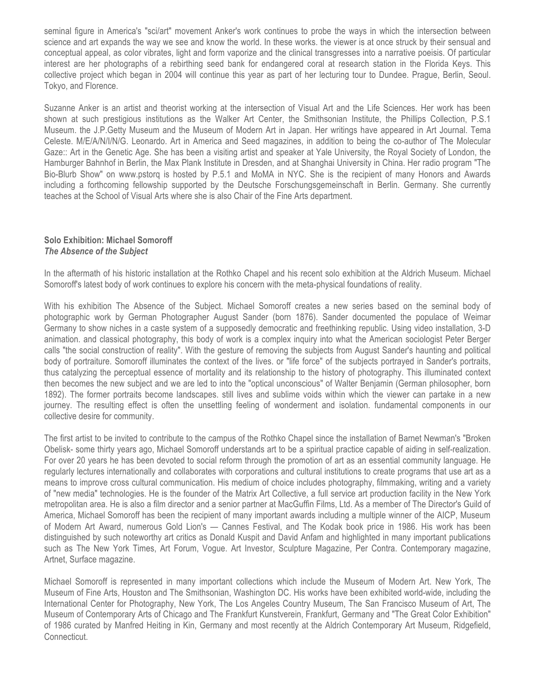seminal figure in America's "sci/art" movement Anker's work continues to probe the ways in which the intersection between science and art expands the way we see and know the world. In these works. the viewer is at once struck by their sensual and conceptual appeal, as color vibrates, light and form vaporize and the clinical transgresses into a narrative poeisis. Of particular interest are her photographs of a rebirthing seed bank for endangered coral at research station in the Florida Keys. This collective project which began in 2004 will continue this year as part of her lecturing tour to Dundee. Prague, Berlin, Seoul. Tokyo, and Florence.

Suzanne Anker is an artist and theorist working at the intersection of Visual Art and the Life Sciences. Her work has been shown at such prestigious institutions as the Walker Art Center, the Smithsonian Institute, the Phillips Collection, P.S.1 Museum. the J.P.Getty Museum and the Museum of Modern Art in Japan. Her writings have appeared in Art Journal. Tema Celeste. M/E/A/N/I/N/G. Leonardo. Art in America and Seed magazines, in addition to being the co-author of The Molecular Gaze:: Art in the Genetic Age. She has been a visiting artist and speaker at Yale University, the Royal Society of London, the Hamburger Bahnhof in Berlin, the Max Plank Institute in Dresden, and at Shanghai University in China. Her radio program "The Bio-Blurb Show" on www.pstorq is hosted by P.5.1 and MoMA in NYC. She is the recipient of many Honors and Awards including a forthcoming fellowship supported by the Deutsche Forschungsgemeinschaft in Berlin. Germany. She currently teaches at the School of Visual Arts where she is also Chair of the Fine Arts department.

#### **Solo Exhibition: Michael Somoroff**  *The Absence of the Subject*

In the aftermath of his historic installation at the Rothko Chapel and his recent solo exhibition at the Aldrich Museum. Michael Somoroff's latest body of work continues to explore his concern with the meta-physical foundations of reality.

With his exhibition The Absence of the Subject. Michael Somoroff creates a new series based on the seminal body of photographic work by German Photographer August Sander (born 1876). Sander documented the populace of Weimar Germany to show niches in a caste system of a supposedly democratic and freethinking republic. Using video installation, 3-D animation. and classical photography, this body of work is a complex inquiry into what the American sociologist Peter Berger calls "the social construction of reality". With the gesture of removing the subjects from August Sander's haunting and political body of portraiture. Somoroff illuminates the context of the lives. or "life force" of the subjects portrayed in Sander's portraits, thus catalyzing the perceptual essence of mortality and its relationship to the history of photography. This illuminated context then becomes the new subject and we are led to into the "optical unconscious" of Walter Benjamin (German philosopher, born 1892). The former portraits become landscapes. still lives and sublime voids within which the viewer can partake in a new journey. The resulting effect is often the unsettling feeling of wonderment and isolation. fundamental components in our collective desire for community.

The first artist to be invited to contribute to the campus of the Rothko Chapel since the installation of Barnet Newman's "Broken Obelisk- some thirty years ago, Michael Somoroff understands art to be a spiritual practice capable of aiding in self-realization. For over 20 years he has been devoted to social reform through the promotion of art as an essential community language. He regularly lectures internationally and collaborates with corporations and cultural institutions to create programs that use art as a means to improve cross cultural communication. His medium of choice includes photography, filmmaking, writing and a variety of "new media" technologies. He is the founder of the Matrix Art Collective, a full service art production facility in the New York metropolitan area. He is also a film director and a senior partner at MacGuffin Films, Ltd. As a member of The Director's Guild of America, Michael Somoroff has been the recipient of many important awards including a multiple winner of the AICP, Museum of Modern Art Award, numerous Gold Lion's — Cannes Festival, and The Kodak book price in 1986. His work has been distinguished by such noteworthy art critics as Donald Kuspit and David Anfam and highlighted in many important publications such as The New York Times, Art Forum, Vogue. Art Investor, Sculpture Magazine, Per Contra. Contemporary magazine, Artnet, Surface magazine.

Michael Somoroff is represented in many important collections which include the Museum of Modern Art. New York, The Museum of Fine Arts, Houston and The Smithsonian, Washington DC. His works have been exhibited world-wide, including the International Center for Photography, New York, The Los Angeles Country Museum, The San Francisco Museum of Art, The Museum of Contemporary Arts of Chicago and The Frankfurt Kunstverein, Frankfurt, Germany and "The Great Color Exhibition" of 1986 curated by Manfred Heiting in Kin, Germany and most recently at the Aldrich Contemporary Art Museum, Ridgefield, Connecticut.